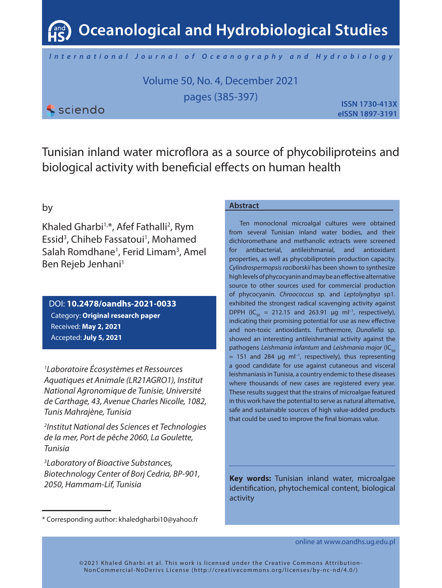**Oceanological and Hydrobiological Studies**

*International Journal of Oceanography and Hydrobiology*

Volume 50, No. 4, December 2021 pages (385-397)

*<u>Sciendo</u>* 

**ISSN 1730-413X eISSN 1897-3191**

Tunisian inland water microflora as a source of phycobiliproteins and biological activity with beneficial effects on human health

# by

Khaled Gharbi<sup>1,\*</sup>, Afef Fathalli<sup>2</sup>, Rym Essid<sup>3</sup>, Chiheb Fassatoui<sup>1</sup>, Mohamed Salah Romdhane<sup>1</sup>, Ferid Limam<sup>3</sup>, Amel Ben Rejeb Jenhani<sup>1</sup>

DOI: **10.2478/oandhs-2021-0033** Category: **Original research paper** Received: **May 2, 2021** Accepted: **July 5, 2021**

*1 Laboratoire Écosystèmes et Ressources Aquatiques et Animale (LR21AGRO1), Institut National Agronomique de Tunisie, Université de Carthage, 43, Avenue Charles Nicolle, 1082, Tunis Mahrajène, Tunisia*

*2 Institut National des Sciences et Technologies de la mer, Port de pêche 2060, La Goulette, Tunisia*

*3 Laboratory of Bioactive Substances, Biotechnology Center of Borj Cedria, BP-901, 2050, Hammam-Lif, Tunisia*

## **Abstract**

Ten monoclonal microalgal cultures were obtained from several Tunisian inland water bodies, and their dichloromethane and methanolic extracts were screened for antibacterial, antileishmanial, and antioxidant properties, as well as phycobiliprotein production capacity. *Cylindrospermopsis raciborskii* has been shown to synthesize high levels of phycocyanin and may be an effective alternative source to other sources used for commercial production of phycocyanin. *Chroococcus* sp. and *Leptolyngbya* sp1. exhibited the strongest radical scavenging activity against DPPH (IC<sub>50</sub> = 212.15 and 263.91 µg ml<sup>-1</sup>, respectively), indicating their promising potential for use as new effective and non-toxic antioxidants. Furthermore, *Dunaliella* sp. showed an interesting antileishmanial activity against the pathogens *Leishmania infantum* and *Leishmania major* (IC<sub>50</sub> = 151 and 284 µg ml−1, respectively)*,* thus representing a good candidate for use against cutaneous and visceral leishmaniasis in Tunisia, a country endemic to these diseases where thousands of new cases are registered every year. These results suggest that the strains of microalgae featured in this work have the potential to serve as natural alternative, safe and sustainable sources of high value-added products that could be used to improve the final biomass value.

**Key words:** Tunisian inland water, microalgae identification, phytochemical content, biological activity

online at www.oandhs.ug.edu.pl

<sup>\*</sup> Corresponding author: khaledgharbi10@yahoo.fr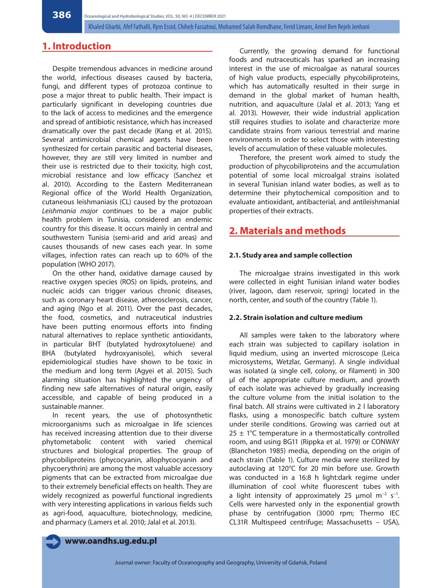# **1. Introduction**

Despite tremendous advances in medicine around the world, infectious diseases caused by bacteria, fungi, and different types of protozoa continue to pose a major threat to public health. Their impact is particularly significant in developing countries due to the lack of access to medicines and the emergence and spread of antibiotic resistance, which has increased dramatically over the past decade (Kang et al. 2015). Several antimicrobial chemical agents have been synthesized for certain parasitic and bacterial diseases, however, they are still very limited in number and their use is restricted due to their toxicity, high cost, microbial resistance and low efficacy (Sanchez et al. 2010). According to the Eastern Mediterranean Regional office of the World Health Organization, cutaneous leishmaniasis (CL) caused by the protozoan *Leishmania major* continues to be a major public health problem in Tunisia, considered an endemic country for this disease. It occurs mainly in central and southwestern Tunisia (semi-arid and arid areas) and causes thousands of new cases each year. In some villages, infection rates can reach up to 60% of the population (WHO 2017).

On the other hand, oxidative damage caused by reactive oxygen species (ROS) on lipids, proteins, and nucleic acids can trigger various chronic diseases, such as coronary heart disease, atherosclerosis, cancer, and aging (Ngo et al. 2011). Over the past decades, the food, cosmetics, and nutraceutical industries have been putting enormous efforts into finding natural alternatives to replace synthetic antioxidants, in particular BHT (butylated hydroxytoluene) and BHA (butylated hydroxyanisole), which several epidemiological studies have shown to be toxic in the medium and long term (Agyei et al. 2015). Such alarming situation has highlighted the urgency of finding new safe alternatives of natural origin, easily accessible, and capable of being produced in a sustainable manner.

In recent years, the use of photosynthetic microorganisms such as microalgae in life sciences has received increasing attention due to their diverse phytometabolic content with varied chemical structures and biological properties. The group of phycobiliproteins (phycocyanin, allophycocyanin and phycoerythrin) are among the most valuable accessory pigments that can be extracted from microalgae due to their extremely beneficial effects on health. They are widely recognized as powerful functional ingredients with very interesting applications in various fields such as agri-food, aquaculture, biotechnology, medicine, and pharmacy (Lamers et al. 2010; Jalal et al. 2013).

Currently, the growing demand for functional foods and nutraceuticals has sparked an increasing interest in the use of microalgae as natural sources of high value products, especially phycobiliproteins, which has automatically resulted in their surge in demand in the global market of human health, nutrition, and aquaculture (Jalal et al. 2013; Yang et al. 2013). However, their wide industrial application still requires studies to isolate and characterize more candidate strains from various terrestrial and marine environments in order to select those with interesting levels of accumulation of these valuable molecules.

Therefore, the present work aimed to study the production of phycobiliproteins and the accumulation potential of some local microalgal strains isolated in several Tunisian inland water bodies, as well as to determine their phytochemical composition and to evaluate antioxidant, antibacterial, and antileishmanial properties of their extracts.

# **2. Materials and methods**

## **2.1. Study area and sample collection**

The microalgae strains investigated in this work were collected in eight Tunisian inland water bodies (river, lagoon, dam reservoir, spring) located in the north, center, and south of the country (Table 1).

## **2.2. Strain isolation and culture medium**

All samples were taken to the laboratory where each strain was subjected to capillary isolation in liquid medium, using an inverted microscope (Leica microsystems, Wetzlar, Germany). A single individual was isolated (a single cell, colony, or filament) in 300 µl of the appropriate culture medium, and growth of each isolate was achieved by gradually increasing the culture volume from the initial isolation to the final batch. All strains were cultivated in 2 l laboratory flasks, using a monospecific batch culture system under sterile conditions. Growing was carried out at  $25 \pm 1^{\circ}$ C temperature in a thermostatically controlled room, and using BG11 (Rippka et al. 1979) or CONWAY (Blancheton 1985) media, depending on the origin of each strain (Table 1). Culture media were sterilized by autoclaving at 120°C for 20 min before use. Growth was conducted in a 16:8 h light:dark regime under illumination of cool white fluorescent tubes with a light intensity of approximately 25 µmol m−2 s−1. Cells were harvested only in the exponential growth phase by centrifugation (3000 rpm; Thermo IEC CL31R Multispeed centrifuge; Massachusetts – USA),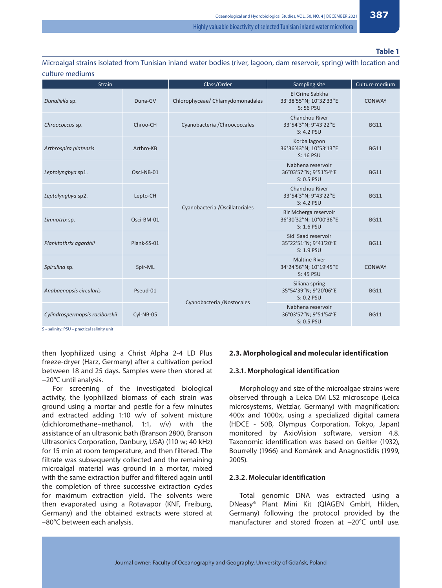## **Table 1**

Microalgal strains isolated from Tunisian inland water bodies (river, lagoon, dam reservoir, spring) with location and culture mediums

| <b>Strain</b>                  |             | Class/Order                      | Sampling site                                                 | Culture medium |
|--------------------------------|-------------|----------------------------------|---------------------------------------------------------------|----------------|
| Dunaliella sp.                 | Duna-GV     | Chlorophyceae/ Chlamydomonadales | El Grine Sabkha<br>33°38'55"N; 10°32'33"E<br>S: 56 PSU        | <b>CONWAY</b>  |
| Chroococcus sp.                | Chroo-CH    | Cyanobacteria / Chroococcales    | Chanchou River<br>33°54'3"N; 9°43'22"E<br>S: 4.2 PSU          | <b>BG11</b>    |
| Arthrospira platensis          | Arthro-KB   |                                  | Korba lagoon<br>36°36'43"N; 10°53'13"E<br>$S: 16$ PSU         | <b>BG11</b>    |
| Leptolyngbya sp1.              | Osci-NB-01  |                                  | Nabhena reservoir<br>36°03'57"N; 9°51'54"E<br>S: 0.5 PSU      | <b>BG11</b>    |
| Leptolyngbya sp2.              | Lepto-CH    |                                  | Chanchou River<br>33°54'3"N; 9°43'22"E<br>$S: 4.2$ PSU        | <b>BG11</b>    |
| Limnotrix sp.                  | Osci-BM-01  | Cyanobacteria / Oscillatoriales  | Bir Mcherga reservoir<br>36°30'32"N; 10°00'36"E<br>S: 1.6 PSU | <b>BG11</b>    |
| Planktothrix agardhii          | Plank-SS-01 |                                  | Sidi Saad reservoir<br>35°22'51"N; 9°41'20"E<br>S: 1.9 PSU    | <b>BG11</b>    |
| Spirulina sp.                  | Spir-ML     |                                  | <b>Maltine River</b><br>34°24'56"N; 10°19'45"E<br>$S: 45$ PSU | CONWAY         |
| Anabaenopsis circularis        | Pseud-01    | Cyanobacteria /Nostocales        | Siliana spring<br>35°54'39"N; 9°20'06"E<br>S: 0.2 PSU         | <b>BG11</b>    |
| Cylindrospermopsis raciborskii | Cyl-NB-05   |                                  | Nabhena reservoir<br>36°03'57"N; 9°51'54"E<br>S: 0.5 PSU      | <b>BG11</b>    |

S – salinity; PSU – practical salinity unit

then lyophilized using a Christ Alpha 2-4 LD Plus freeze-dryer (Harz, Germany) after a cultivation period between 18 and 25 days. Samples were then stored at −20°C until analysis.

For screening of the investigated biological activity, the lyophilized biomass of each strain was ground using a mortar and pestle for a few minutes and extracted adding 1:10 w/v of solvent mixture (dichloromethane–methanol, 1:1, v/v) with the assistance of an ultrasonic bath (Branson 2800, Branson Ultrasonics Corporation, Danbury, USA) (110 w; 40 kHz) for 15 min at room temperature, and then filtered. The filtrate was subsequently collected and the remaining microalgal material was ground in a mortar, mixed with the same extraction buffer and filtered again until the completion of three successive extraction cycles for maximum extraction yield. The solvents were then evaporated using a Rotavapor (KNF, Freiburg, Germany) and the obtained extracts were stored at –80°C between each analysis.

## **2.3. Morphological and molecular identification**

## **2.3.1. Morphological identification**

Morphology and size of the microalgae strains were observed through a Leica DM LS2 microscope (Leica microsystems, Wetzlar, Germany) with magnification: 400x and 1000x, using a specialized digital camera (HDCE - 50B, Olympus Corporation, Tokyo, Japan) monitored by AxioVision software, version 4.8. Taxonomic identification was based on Geitler (1932), Bourrelly (1966) and Komárek and Anagnostidis (1999, 2005).

#### **2.3.2. Molecular identification**

Total genomic DNA was extracted using a DNeasy® Plant Mini Kit (QIAGEN GmbH, Hilden, Germany) following the protocol provided by the manufacturer and stored frozen at −20°C until use.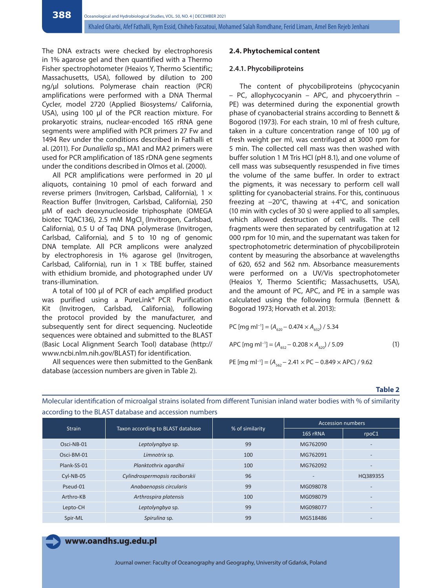The DNA extracts were checked by electrophoresis in 1% agarose gel and then quantified with a Thermo Fisher spectrophotometer (Heaios Y, Thermo Scientific; Massachusetts, USA), followed by dilution to 200 ng/µl solutions. Polymerase chain reaction (PCR) amplifications were performed with a DNA Thermal Cycler, model 2720 (Applied Biosystems/ California, USA), using 100 µl of the PCR reaction mixture. For prokaryotic strains, nuclear-encoded 16S rRNA gene segments were amplified with PCR primers 27 Fw and 1494 Rev under the conditions described in Fathalli et al. (2011). For *Dunaliella* sp., MA1 and MA2 primers were used for PCR amplification of 18S rDNA gene segments under the conditions described in Olmos et al. (2000).

All PCR amplifications were performed in 20 µl aliquots, containing 10 pmol of each forward and reverse primers (Invitrogen, Carlsbad, California), 1 × Reaction Buffer (Invitrogen, Carlsbad, California), 250 µM of each deoxynucleoside triphosphate (OMEGA biotec TQAC136), 2.5 mM MgCl. (Invitrogen, Carlsbad, California), 0.5 U of Taq DNA polymerase (Invitrogen, Carlsbad, California), and 5 to 10 ng of genomic DNA template. All PCR amplicons were analyzed by electrophoresis in 1% agarose gel (Invitrogen, Carlsbad, California), run in  $1 \times$  TBE buffer, stained with ethidium bromide, and photographed under UV trans-illumination.

A total of 100 µl of PCR of each amplified product was purified using a PureLink® PCR Purification Kit (Invitrogen, Carlsbad, California), following the protocol provided by the manufacturer, and subsequently sent for direct sequencing. Nucleotide sequences were obtained and submitted to the BLAST (Basic Local Alignment Search Tool) database (http:// www.ncbi.nlm.nih.gov/BLAST) for identification.

All sequences were then submitted to the GenBank database (accession numbers are given in Table 2).

#### **2.4. Phytochemical content**

#### **2.4.1. Phycobiliproteins**

The content of phycobiliproteins (phycocyanin – PC, allophycocyanin – APC, and phycoerythrin – PE) was determined during the exponential growth phase of cyanobacterial strains according to Bennett & Bogorod (1973). For each strain, 10 ml of fresh culture, taken in a culture concentration range of 100 μg of fresh weight per ml, was centrifuged at 3000 rpm for 5 min. The collected cell mass was then washed with buffer solution 1 M Tris HCl (pH 8.1), and one volume of cell mass was subsequently resuspended in five times the volume of the same buffer. In order to extract the pigments, it was necessary to perform cell wall splitting for cyanobacterial strains. For this, continuous freezing at −20°C, thawing at +4°C, and sonication (10 min with cycles of 30 s) were applied to all samples, which allowed destruction of cell walls. The cell fragments were then separated by centrifugation at 12 000 rpm for 10 min, and the supernatant was taken for spectrophotometric determination of phycobiliprotein content by measuring the absorbance at wavelengths of 620, 652 and 562 nm. Absorbance measurements were performed on a UV/Vis spectrophotometer (Heaios Y, Thermo Scientific; Massachusetts, USA), and the amount of PC, APC, and PE in a sample was calculated using the following formula (Bennett & Bogorad 1973; Horvath et al. 2013):

PC [mg m]<sup>-1</sup>] = 
$$
(A_{620} - 0.474 \times A_{652}) / 5.34
$$
  
APC [mg m]<sup>-1</sup>] =  $(A_{652} - 0.208 \times A_{620}) / 5.09$  (1)

PE [mg ml<sup>-1</sup>] =  $(A_{562} - 2.41 \times PC - 0.849 \times APC) / 9.62$ 

#### **Table 2**

|               |                                   |                 | <b>Accession numbers</b> |                          |
|---------------|-----------------------------------|-----------------|--------------------------|--------------------------|
| <b>Strain</b> | Taxon according to BLAST database | % of similarity | 16S rRNA                 | rpoC1                    |
| Osci-NB-01    | Leptolyngbya sp.                  | 99              | MG762090                 |                          |
| Osci-BM-01    | Limnotrix sp.                     | 100             | MG762091                 |                          |
| Plank-SS-01   | Planktothrix agardhii             | 100             | MG762092                 | $\overline{\phantom{0}}$ |
| $Cyl-NB-05$   | Cylindrospermopsis raciborskii    | 96              |                          | HQ389355                 |
| Pseud-01      | Anabaenopsis circularis           | 99              | MG098078                 |                          |
| Arthro-KB     | Arthrospira platensis             | 100             | MG098079                 |                          |
| Lepto-CH      | Leptolyngbya sp.                  | 99              | MG098077                 |                          |
| Spir-ML       | Spirulina sp.                     | 99              | MG518486                 |                          |

Molecular identification of microalgal strains isolated from different Tunisian inland water bodies with % of similarity according to the BLAST database and accession numbers

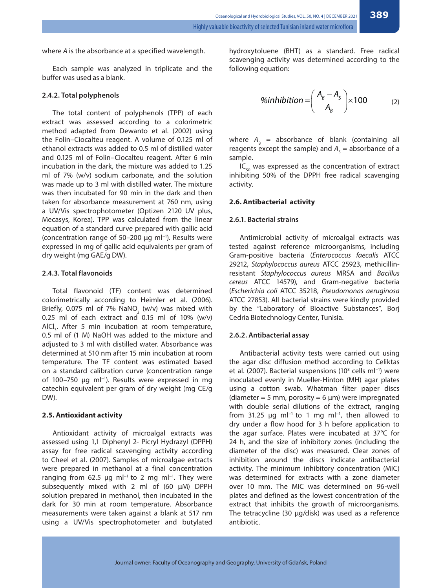where *A* is the absorbance at a specified wavelength.

Each sample was analyzed in triplicate and the buffer was used as a blank.

## **2.4.2. Total polyphenols**

The total content of polyphenols (TPP) of each extract was assessed according to a colorimetric method adapted from Dewanto et al. (2002) using the Folin–Ciocalteu reagent. A volume of 0.125 ml of ethanol extracts was added to 0.5 ml of distilled water and 0.125 ml of Folin–Ciocalteu reagent. After 6 min incubation in the dark, the mixture was added to 1.25 ml of 7% (w/v) sodium carbonate, and the solution was made up to 3 ml with distilled water. The mixture was then incubated for 90 min in the dark and then taken for absorbance measurement at 760 nm, using a UV/Vis spectrophotometer (Optizen 2120 UV plus, Mecasys, Korea). TPP was calculated from the linear equation of a standard curve prepared with gallic acid (concentration range of 50–200 μg ml−1). Results were expressed in mg of gallic acid equivalents per gram of dry weight (mg GAE/g DW).

## **2.4.3. Total flavonoids**

Total flavonoid (TF) content was determined colorimetrically according to Heimler et al. (2006). Briefly, 0.075 ml of 7%  $\textsf{NaNO}_{\text{\tiny{2}}}$  (w/v) was mixed with 0.25 ml of each extract and 0.15 ml of 10%  $(w/v)$ AICI<sub>3</sub>. After 5 min incubation at room temperature, 0.5 ml of (1 M) NaOH was added to the mixture and adjusted to 3 ml with distilled water. Absorbance was determined at 510 nm after 15 min incubation at room temperature. The TF content was estimated based on a standard calibration curve (concentration range of 100–750 μg ml−1). Results were expressed in mg catechin equivalent per gram of dry weight (mg CE/g DW).

## **2.5. Antioxidant activity**

Antioxidant activity of microalgal extracts was assessed using 1,1 Diphenyl 2- Picryl Hydrazyl (DPPH) assay for free radical scavenging activity according to Cheel et al. (2007). Samples of microalgae extracts were prepared in methanol at a final concentration ranging from 62.5 μg ml<sup>-1</sup> to 2 mg ml<sup>-1</sup>. They were subsequently mixed with 2 ml of (60 μM) DPPH solution prepared in methanol, then incubated in the dark for 30 min at room temperature. Absorbance measurements were taken against a blank at 517 nm using a UV/Vis spectrophotometer and butylated

hydroxytoluene (BHT) as a standard. Free radical scavenging activity was determined according to the following equation:

$$
%inhibition = \left(\frac{A_B - A_S}{A_B}\right) \times 100
$$
 (2)

where  $A_{\rm B}$  = absorbance of blank (containing all reagents except the sample) and  $A_{\rm s}$  = absorbance of a sample.

 $IC_{50}$  was expressed as the concentration of extract inhibiting 50% of the DPPH free radical scavenging activity.

## **2.6. Antibacterial activity**

#### **2.6.1. Bacterial strains**

Antimicrobial activity of microalgal extracts was tested against reference microorganisms, including Gram-positive bacteria (*Enterococcus faecalis* ATCC 29212, *Staphylococcus aureus* ATCC 25923, methicillinresistant *Staphylococcus aureus* MRSA and *Bacillus cereus* ATCC 14579), and Gram-negative bacteria (*Escherichia coli* ATCC 35218, *Pseudomonas aeruginosa* ATCC 27853). All bacterial strains were kindly provided by the "Laboratory of Bioactive Substances", Borj Cedria Biotechnology Center, Tunisia.

### **2.6.2. Antibacterial assay**

Antibacterial activity tests were carried out using the agar disc diffusion method according to Celiktas et al. (2007). Bacterial suspensions (10<sup>8</sup> cells ml<sup>-1</sup>) were inoculated evenly in Mueller-Hinton (MH) agar plates using a cotton swab. Whatman filter paper discs (diameter = 5 mm, porosity = 6  $\mu$ m) were impregnated with double serial dilutions of the extract, ranging from 31.25 µg ml<sup>-1</sup> to 1 mg ml<sup>-1</sup>, then allowed to dry under a flow hood for 3 h before application to the agar surface. Plates were incubated at 37°C for 24 h, and the size of inhibitory zones (including the diameter of the disc) was measured. Clear zones of inhibition around the discs indicate antibacterial activity. The minimum inhibitory concentration (MIC) was determined for extracts with a zone diameter over 10 mm. The MIC was determined on 96-well plates and defined as the lowest concentration of the extract that inhibits the growth of microorganisms. The tetracycline (30 µg/disk) was used as a reference antibiotic.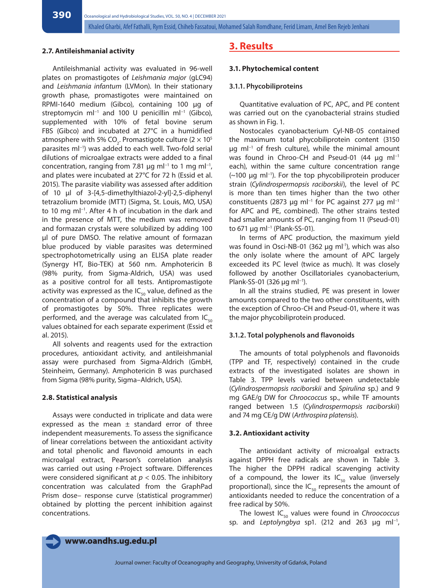#### **2.7. Antileishmanial activity**

Antileishmanial activity was evaluated in 96-well plates on promastigotes of *Leishmania major* (gLC94) and *Leishmania infantum* (LVMon). In their stationary growth phase, promastigotes were maintained on RPMI-1640 medium (Gibco), containing 100 µg of streptomycin ml<sup>-1</sup> and 100 U penicillin ml<sup>-1</sup> (Gibco), supplemented with 10% of fetal bovine serum FBS (Gibco) and incubated at 27°C in a humidified atmosphere with 5% CO<sub>2</sub>. Promastigote culture (2  $\times$  10<sup>5</sup> parasites ml<sup>-1</sup>) was added to each well. Two-fold serial dilutions of microalgae extracts were added to a final concentration, ranging from 7.81 µg m $l^{-1}$  to 1 mg m $l^{-1}$ , and plates were incubated at 27°C for 72 h (Essid et al. 2015). The parasite viability was assessed after addition of 10 µl of 3-[4,5-dimethylthiazol-2-yl]-2,5-diphenyl tetrazolium bromide (MTT) (Sigma, St. Louis, MO, USA) to 10 mg ml−1. After 4 h of incubation in the dark and in the presence of MTT, the medium was removed and formazan crystals were solubilized by adding 100 µl of pure DMSO. The relative amount of formazan blue produced by viable parasites was determined spectrophotometrically using an ELISA plate reader (Synergy HT, Bio-TEK) at 560 nm. Amphotericin B (98% purity, from Sigma-Aldrich, USA) was used as a positive control for all tests. Antipromastigote activity was expressed as the  $IC_{50}$  value, defined as the concentration of a compound that inhibits the growth of promastigotes by 50%. Three replicates were performed, and the average was calculated from  $IC_{50}$ values obtained for each separate experiment (Essid et al. 2015).

All solvents and reagents used for the extraction procedures, antioxidant activity, and antileishmanial assay were purchased from Sigma-Aldrich (GmbH, Steinheim, Germany). Amphotericin B was purchased from Sigma (98% purity, Sigma–Aldrich, USA).

#### **2.8. Statistical analysis**

Assays were conducted in triplicate and data were expressed as the mean  $\pm$  standard error of three independent measurements. To assess the significance of linear correlations between the antioxidant activity and total phenolic and flavonoid amounts in each microalgal extract, Pearson's correlation analysis was carried out using r-Project software. Differences were considered significant at *p* < 0.05. The inhibitory concentration was calculated from the GraphPad Prism dose– response curve (statistical programmer) obtained by plotting the percent inhibition against concentrations.

## **3. Results**

#### **3.1. Phytochemical content**

#### **3.1.1. Phycobiliproteins**

Quantitative evaluation of PC, APC, and PE content was carried out on the cyanobacterial strains studied as shown in Fig. 1.

Nostocales cyanobacterium Cyl-NB-05 contained the maximum total phycobiliprotein content (3150 µg ml<sup>-1</sup> of fresh culture), while the minimal amount was found in Chroo-CH and Pseud-01 (44 µg ml<sup>-1</sup> each), within the same culture concentration range (~100 μg ml−1). For the top phycobiliprotein producer strain (*Cylindrospermopsis raciborskii*), the level of PC is more than ten times higher than the two other constituents (2873 µg ml<sup>-1</sup> for PC against 277 µg ml<sup>-1</sup> for APC and PE, combined). The other strains tested had smaller amounts of PC, ranging from 11 (Pseud-01) to 671 μg ml<sup>-1</sup> (Plank-SS-01).

In terms of APC production, the maximum yield was found in Osci-NB-01 (362  $\mu$ g ml<sup>-1</sup>), which was also the only isolate where the amount of APC largely exceeded its PC level (twice as much). It was closely followed by another Oscillatoriales cyanobacterium, Plank-SS-01 (326 µg ml<sup>-1</sup>).

In all the strains studied, PE was present in lower amounts compared to the two other constituents, with the exception of Chroo-CH and Pseud-01, where it was the major phycobiliprotein produced.

### **3.1.2. Total polyphenols and flavonoids**

The amounts of total polyphenols and flavonoids (TPP and TF, respectively) contained in the crude extracts of the investigated isolates are shown in Table 3. TPP levels varied between undetectable (*Cylindrospermopsis raciborskii* and *Spirulina* sp.) and 9 mg GAE/g DW for *Chroococcus* sp., while TF amounts ranged between 1.5 (*Cylindrospermopsis raciborskii*) and 74 mg CE/g DW (*Arthrospira platensis*).

### **3.2. Antioxidant activity**

The antioxidant activity of microalgal extracts against DPPH free radicals are shown in Table 3. The higher the DPPH radical scavenging activity of a compound, the lower its  $IC_{50}$  value (inversely proportional), since the  $IC_{50}$  represents the amount of antioxidants needed to reduce the concentration of a free radical by 50%.

The lowest IC<sub>50</sub> values were found in *Chroococcus* sp. and *Leptolyngbya* sp1. (212 and 263 μg ml−1,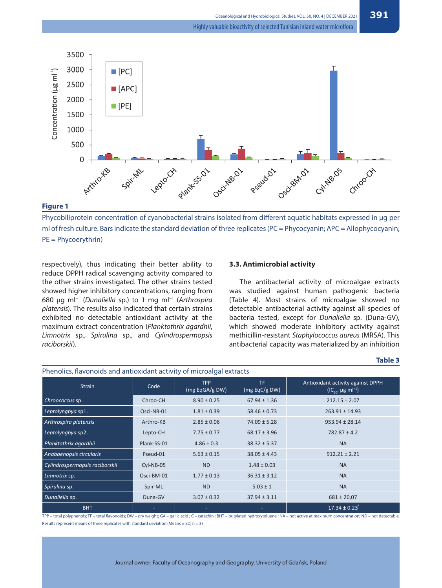

#### **Figure 1**

Phycobiliprotein concentration of cyanobacterial strains isolated from different aquatic habitats expressed in µg per ml of fresh culture. Bars indicate the standard deviation of three replicates (PC = Phycocyanin; APC = Allophycocyanin; PE = Phycoerythrin)

respectively), thus indicating their better ability to reduce DPPH radical scavenging activity compared to the other strains investigated. The other strains tested showed higher inhibitory concentrations, ranging from 680 μg ml−1 (*Dunaliella* sp.) to 1 mg ml−1 (*Arthrospira platensis*). The results also indicated that certain strains exhibited no detectable antioxidant activity at the maximum extract concentration (*Planktothrix agardhii*, *Limnotrix* sp., *Spirulina* sp., and *Cylindrospermopsis raciborskii*).

#### **3.3. Antimicrobial activity**

The antibacterial activity of microalgae extracts was studied against human pathogenic bacteria (Table 4). Most strains of microalgae showed no detectable antibacterial activity against all species of bacteria tested, except for *Dunaliella* sp. (Duna-GV), which showed moderate inhibitory activity against methicillin-resistant *Staphylococcus aureus* (MRSA). This antibacterial capacity was materialized by an inhibition

| . .<br>× | ۰.<br>٠ |  |
|----------|---------|--|
|----------|---------|--|

| Phenolics, flavonoids and antioxidant activity of microalgal extracts |             |                              |                      |                                                                                 |  |
|-----------------------------------------------------------------------|-------------|------------------------------|----------------------|---------------------------------------------------------------------------------|--|
| <b>Strain</b>                                                         | Code        | <b>TPP</b><br>(mg EqGA/g DW) | TF.<br>(mg EqC/g DW) | Antioxidant activity against DPPH<br>$(IC_{\epsilon_0}, \mu g \text{ ml}^{-1})$ |  |
| Chroococcus sp.                                                       | Chroo-CH    | $8.90 \pm 0.25$              | $67.94 \pm 1.36$     | $212.15 \pm 2.07$                                                               |  |
| Leptolyngbya sp1.                                                     | Osci-NB-01  | $1.81 \pm 0.39$              | $58.46 \pm 0.73$     | $263.91 \pm 14.93$                                                              |  |
| Arthrospira platensis                                                 | Arthro-KB   | $2.85 \pm 0.06$              | $74.09 \pm 5.28$     | $953.94 \pm 28.14$                                                              |  |
| Leptolyngbya sp2.                                                     | Lepto-CH    | $7.75 \pm 0.77$              | $68.17 \pm 3.96$     | $782.87 \pm 4.2$                                                                |  |
| Planktothrix agardhii                                                 | Plank-SS-01 | $4.86 \pm 0.3$               | $38.32 \pm 5.37$     | <b>NA</b>                                                                       |  |
| Anabaenopsis circularis                                               | Pseud-01    | $5.63 \pm 0.15$              | $38.05 \pm 4.43$     | $912.21 \pm 2.21$                                                               |  |
| Cylindrospermopsis raciborskii                                        | Cyl-NB-05   | <b>ND</b>                    | $1.48 \pm 0.03$      | <b>NA</b>                                                                       |  |
| Limnotrix sp.                                                         | Osci-BM-01  | $1.77 \pm 0.13$              | $36.31 \pm 3.12$     | <b>NA</b>                                                                       |  |
| Spirulina sp.                                                         | Spir-ML     | N <sub>D</sub>               | $5.03 \pm 1$         | <b>NA</b>                                                                       |  |
| Dunaliella sp.                                                        | Duna-GV     | $3.07 \pm 0.32$              | $37.94 \pm 3.11$     | $681 \pm 20.07$                                                                 |  |
| <b>BHT</b>                                                            |             |                              |                      | $17.34 \pm 0.23$                                                                |  |

TPP – total polyphenols; TF – total fl avonoids; DW – dry weight; GA – gallic acid ; C – catechin ; BHT – butylated hydroxytoluene ; NA – not active at maximum concentration; ND – not detectable. Results represent means of three replicates with standard deviation (Means  $\pm$  SD, n = 3)

Journal owner: Faculty of Oceanography and Geography, University of Gdańsk, Poland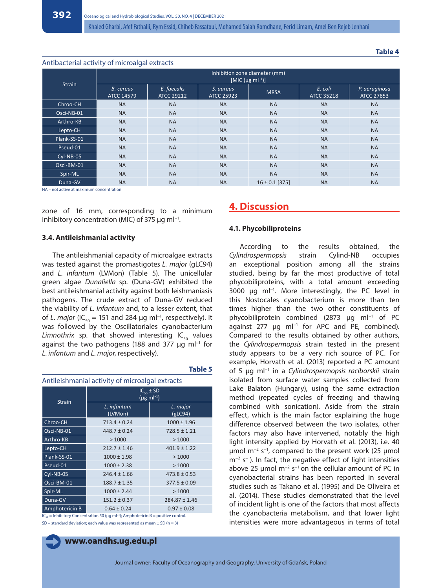**Table 4**

#### Antibacterial activity of microalgal extracts

| <b>Strain</b> | Inhibition zone diameter (mm)<br>[MIC ( $\mu$ g ml <sup>-1</sup> )] |                                  |                                |                    |                              |                                    |
|---------------|---------------------------------------------------------------------|----------------------------------|--------------------------------|--------------------|------------------------------|------------------------------------|
|               | <b>B.</b> cereus<br><b>ATCC 14579</b>                               | E. faecalis<br><b>ATCC 29212</b> | S. aureus<br><b>ATCC 25923</b> | <b>MRSA</b>        | E. coli<br><b>ATCC 35218</b> | P. aeruginosa<br><b>ATCC 27853</b> |
| Chroo-CH      | <b>NA</b>                                                           | <b>NA</b>                        | <b>NA</b>                      | <b>NA</b>          | <b>NA</b>                    | <b>NA</b>                          |
| Osci-NB-01    | <b>NA</b>                                                           | <b>NA</b>                        | <b>NA</b>                      | <b>NA</b>          | <b>NA</b>                    | <b>NA</b>                          |
| Arthro-KB     | <b>NA</b>                                                           | <b>NA</b>                        | <b>NA</b>                      | <b>NA</b>          | <b>NA</b>                    | <b>NA</b>                          |
| Lepto-CH      | <b>NA</b>                                                           | <b>NA</b>                        | <b>NA</b>                      | <b>NA</b>          | <b>NA</b>                    | <b>NA</b>                          |
| Plank-SS-01   | <b>NA</b>                                                           | <b>NA</b>                        | <b>NA</b>                      | <b>NA</b>          | <b>NA</b>                    | <b>NA</b>                          |
| Pseud-01      | <b>NA</b>                                                           | <b>NA</b>                        | <b>NA</b>                      | <b>NA</b>          | <b>NA</b>                    | <b>NA</b>                          |
| $Cyl-NB-05$   | <b>NA</b>                                                           | <b>NA</b>                        | <b>NA</b>                      | <b>NA</b>          | <b>NA</b>                    | <b>NA</b>                          |
| Osci-BM-01    | <b>NA</b>                                                           | <b>NA</b>                        | <b>NA</b>                      | <b>NA</b>          | <b>NA</b>                    | <b>NA</b>                          |
| Spir-ML       | <b>NA</b>                                                           | <b>NA</b>                        | <b>NA</b>                      | <b>NA</b>          | <b>NA</b>                    | <b>NA</b>                          |
| Duna-GV       | <b>NA</b>                                                           | <b>NA</b>                        | <b>NA</b>                      | $16 \pm 0.1$ [375] | <b>NA</b>                    | <b>NA</b>                          |

NA – not active at maximum concentration

zone of 16 mm, corresponding to a minimum inhibitory concentration (MIC) of 375 µg ml−1.

### **3.4. Antileishmanial activity**

The antileishmanial capacity of microalgae extracts was tested against the promastigotes *L. major* (gLC94) and *L. infantum* (LVMon) (Table 5). The unicellular green algae *Dunaliella* sp. (Duna-GV) exhibited the best antileishmanial activity against both leishmaniasis pathogens. The crude extract of Duna-GV reduced the viability of *L. infantum* and, to a lesser extent, that of *L. major* (IC<sub>50</sub> = 151 and 284 µg ml<sup>-1</sup>, respectively). It was followed by the Oscillatoriales cyanobacterium *Limnothrix* sp. that showed interesting  $IC_{50}$  values against the two pathogens (188 and 377 μg ml−1 for *L. infantum* and *L. major*, respectively).

| Antileishmanial activity of microalgal extracts |                                                          |                     |  |  |
|-------------------------------------------------|----------------------------------------------------------|---------------------|--|--|
| <b>Strain</b>                                   | $IC_{50}$ ± SD<br>$(\mu g \, \text{m} \, \text{l}^{-1})$ |                     |  |  |
|                                                 | L. infantum<br>(LVMon)                                   | L. major<br>(gLC94) |  |  |
| Chroo-CH                                        | $713.4 \pm 0.24$                                         | $1000 \pm 1.96$     |  |  |
| Osci-NB-01                                      | $448.7 \pm 0.24$                                         | $728.5 \pm 1.21$    |  |  |
| Arthro-KB                                       | >1000                                                    | >1000               |  |  |
| Lepto-CH                                        | $212.7 \pm 1.46$                                         | $401.9 \pm 1.22$    |  |  |
| Plank-SS-01                                     | $1000 \pm 1.98$                                          | >1000               |  |  |
| Pseud-01                                        | $1000 \pm 2.38$                                          | >1000               |  |  |
| Cyl-NB-05                                       | $246.4 \pm 1.66$                                         | $473.8 \pm 0.53$    |  |  |
| Osci-BM-01                                      | $188.7 \pm 1.35$                                         | $377.5 \pm 0.09$    |  |  |
| Spir-ML                                         | $1000 \pm 2.44$                                          | >1000               |  |  |
| Duna-GV                                         | $151.2 \pm 0.37$                                         | $284.87 \pm 1.46$   |  |  |
| Amphotericin B                                  | $0.64 \pm 0.24$                                          | $0.97 \pm 0.08$     |  |  |

**Table 5**

IC50 = Inhibitory Concentration 50 (μg ml−1); Amphotericin B = positive control. SD – standard deviation; each value was represented as mean  $\pm$  SD (n = 3)

**www.oandhs.ug.edu.pl**

## **4. Discussion**

#### **4.1. Phycobiliproteins**

According to the results obtained, the *Cylindrospermopsis* strain Cylind-NB occupies an exceptional position among all the strains studied, being by far the most productive of total phycobiliproteins, with a total amount exceeding 3000 µg ml<sup>-1</sup>. More interestingly, the PC level in this Nostocales cyanobacterium is more than ten times higher than the two other constituents of phycobiliprotein combined (2873 µg ml−1 of PC against 277 µg ml<sup>-1</sup> for APC and PE, combined). Compared to the results obtained by other authors, the *Cylindrospermopsis* strain tested in the present study appears to be a very rich source of PC. For example, Horvath et al. (2013) reported a PC amount of 5 µg ml−1 in a *Cylindrospermopsis raciborskii* strain isolated from surface water samples collected from Lake Balaton (Hungary), using the same extraction method (repeated cycles of freezing and thawing combined with sonication). Aside from the strain effect, which is the main factor explaining the huge difference observed between the two isolates, other factors may also have intervened, notably the high light intensity applied by Horvath et al. (2013), i.e. 40 μmol m−2 s−1, compared to the present work (25 μmol m<sup>-2</sup> s<sup>-1</sup>). In fact, the negative effect of light intensities above 25 µmol  $m^{-2}$  s<sup>-1</sup> on the cellular amount of PC in cyanobacterial strains has been reported in several studies such as Takano et al. (1995) and De Oliveira et al. (2014). These studies demonstrated that the level of incident light is one of the factors that most affects the cyanobacteria metabolism, and that lower light intensities were more advantageous in terms of total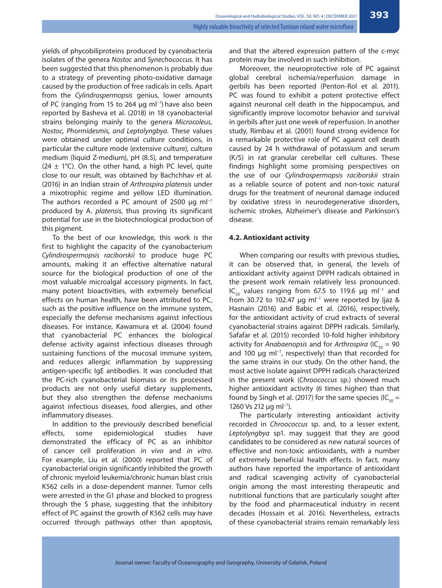yields of phycobiliproteins produced by cyanobacteria isolates of the genera *Nostoc* and *Synechococcus.* It has been suggested that this phenomenon is probably due to a strategy of preventing photo-oxidative damage caused by the production of free radicals in cells. Apart from the *Cylindrospermopsis* genius, lower amounts of PC (ranging from 15 to 264 µg ml<sup>-1</sup>) have also been reported by Basheva et al. (2018) in 18 cyanobacterial strains belonging mainly to the genera *Microcoleus, Nostoc, Phormidesmis, and Leptolyngbya*. These values were obtained under optimal culture conditions, in particular the culture mode (extensive culture), culture medium (liquid Z-medium), pH (8.5), and temperature (24  $\pm$  1°C). On the other hand, a high PC level, quite close to our result, was obtained by Bachchhav et al. (2016) in an Indian strain of *Arthrospira platensis* under a mixotrophic regime and yellow LED illumination. The authors recorded a PC amount of 2500  $\mu$ q ml<sup>-1</sup> produced by A. *platensis*, thus proving its significant potential for use in the biotechnological production of this pigment.

To the best of our knowledge, this work is the first to highlight the capacity of the cyanobacterium *Cylindrospermopsis raciborskii* to produce huge PC amounts, making it an effective alternative natural source for the biological production of one of the most valuable microalgal accessory pigments. In fact, many potent bioactivities, with extremely beneficial effects on human health, have been attributed to PC, such as the positive influence on the immune system, especially the defense mechanisms against infectious diseases. For instance, Kawamura et al. (2004) found that cyanobacterial PC enhances the biological defense activity against infectious diseases through sustaining functions of the mucosal immune system, and reduces allergic inflammation by suppressing antigen-specific IgE antibodies. It was concluded that the PC-rich cyanobacterial biomass or its processed products are not only useful dietary supplements, but they also strengthen the defense mechanisms against infectious diseases, food allergies, and other inflammatory diseases.

In addition to the previously described beneficial effects, some epidemiological studies have demonstrated the efficacy of PC as an inhibitor of cancer cell proliferation *in vivo* and *in vitro*. For example, Liu et al. (2000) reported that PC of cyanobacterial origin significantly inhibited the growth of chronic myeloid leukemia/chronic human blast crisis K562 cells in a dose-dependent manner. Tumor cells were arrested in the G1 phase and blocked to progress through the S phase, suggesting that the inhibitory effect of PC against the growth of K562 cells may have occurred through pathways other than apoptosis, and that the altered expression pattern of the c-myc protein may be involved in such inhibition.

Moreover, the neuroprotective role of PC against global cerebral ischemia/reperfusion damage in gerbils has been reported (Penton-Rol et al. 2011). PC was found to exhibit a potent protective effect against neuronal cell death in the hippocampus, and significantly improve locomotor behavior and survival in gerbils after just one week of reperfusion. In another study, Rimbau et al. (2001) found strong evidence for a remarkable protective role of PC against cell death caused by 24 h withdrawal of potassium and serum (K/S) in rat granular cerebellar cell cultures. These findings highlight some promising perspectives on the use of our *Cylindrospermopsis raciborskii* strain as a reliable source of potent and non-toxic natural drugs for the treatment of neuronal damage induced by oxidative stress in neurodegenerative disorders, ischemic strokes, Alzheimer's disease and Parkinson's disease.

## **4.2. Antioxidant activity**

When comparing our results with previous studies, it can be observed that, in general, the levels of antioxidant activity against DPPH radicals obtained in the present work remain relatively less pronounced. IC<sub>50</sub> values ranging from 67.5 to 119.6 μg ml<sup>-1</sup> and from 30.72 to 102.47 μg ml<sup>-1</sup> were reported by Ijaz & Hasnain (2016) and Babic et al. (2016), respectively, for the antioxidant activity of crud extracts of several cyanobacterial strains against DPPH radicals. Similarly, Safafar et al. (2015) recorded 10-fold higher inhibitory activity for *Anabaenopsis* and for *Arthrospira* (IC<sub>50</sub> = 90 and 100 μg ml<sup>-1</sup>, respectively) than that recorded for the same strains in our study. On the other hand, the most active isolate against DPPH radicals characterized in the present work (*Chroococcus* sp.) showed much higher antioxidant activity (6 times higher) than that found by Singh et al. (2017) for the same species (IC $_{50}$  = 1260 Vs 212 μg ml<sup>−1</sup>).

The particularly interesting antioxidant activity recorded in *Chroococcus* sp. and, to a lesser extent, *Leptolyngbya* sp1. may suggest that they are good candidates to be considered as new natural sources of effective and non-toxic antioxidants, with a number of extremely beneficial health effects. In fact, many authors have reported the importance of antioxidant and radical scavenging activity of cyanobacterial origin among the most interesting therapeutic and nutritional functions that are particularly sought after by the food and pharmaceutical industry in recent decades (Hossain et al. 2016). Nevertheless, extracts of these cyanobacterial strains remain remarkably less

**393**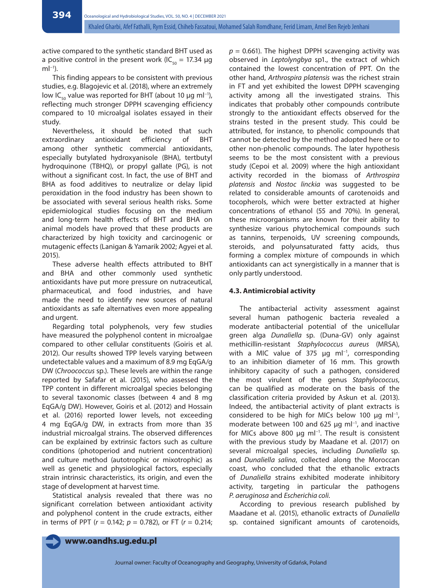active compared to the synthetic standard BHT used as a positive control in the present work (IC $_{50}$  = 17.34  $\mu$ g  $mI^{-1}$ ).

This finding appears to be consistent with previous studies, e.g. Blagojevic et al. (2018), where an extremely low IC<sub>50</sub> value was reported for BHT (about 10 μg ml<sup>-1</sup>), reflecting much stronger DPPH scavenging efficiency compared to 10 microalgal isolates essayed in their study.

Nevertheless, it should be noted that such extraordinary antioxidant efficiency of BHT among other synthetic commercial antioxidants, especially butylated hydroxyanisole (BHA), tertbutyl hydroquinone (TBHQ), or propyl gallate (PG), is not without a significant cost. In fact, the use of BHT and BHA as food additives to neutralize or delay lipid peroxidation in the food industry has been shown to be associated with several serious health risks. Some epidemiological studies focusing on the medium and long-term health effects of BHT and BHA on animal models have proved that these products are characterized by high toxicity and carcinogenic or mutagenic effects (Lanigan & Yamarik 2002; Agyei et al. 2015).

These adverse health effects attributed to BHT and BHA and other commonly used synthetic antioxidants have put more pressure on nutraceutical, pharmaceutical, and food industries, and have made the need to identify new sources of natural antioxidants as safe alternatives even more appealing and urgent.

Regarding total polyphenols, very few studies have measured the polyphenol content in microalgae compared to other cellular constituents (Goiris et al. 2012). Our results showed TPP levels varying between undetectable values and a maximum of 8.9 mg EqGA/g DW (*Chroococcus* sp.). These levels are within the range reported by Safafar et al. (2015), who assessed the TPP content in different microalgal species belonging to several taxonomic classes (between 4 and 8 mg EqGA/g DW). However, Goiris et al. (2012) and Hossain et al. (2016) reported lower levels, not exceeding 4 mg EqGA/g DW, in extracts from more than 35 industrial microalgal strains. The observed differences can be explained by extrinsic factors such as culture conditions (photoperiod and nutrient concentration) and culture method (autotrophic or mixotrophic) as well as genetic and physiological factors, especially strain intrinsic characteristics, its origin, and even the stage of development at harvest time.

Statistical analysis revealed that there was no significant correlation between antioxidant activity and polyphenol content in the crude extracts, either in terms of PPT (*r* = 0.142; *p* = 0.782), or FT (*r* = 0.214;  $p = 0.661$ ). The highest DPPH scavenging activity was observed in *Leptolyngbya* sp1., the extract of which contained the lowest concentration of PPT. On the other hand, *Arthrospira platensis* was the richest strain in FT and yet exhibited the lowest DPPH scavenging activity among all the investigated strains. This indicates that probably other compounds contribute strongly to the antioxidant effects observed for the strains tested in the present study. This could be attributed, for instance, to phenolic compounds that cannot be detected by the method adopted here or to other non-phenolic compounds. The later hypothesis seems to be the most consistent with a previous study (Cepoi et al. 2009) where the high antioxidant activity recorded in the biomass of *Arthrospira platensis* and *Nostoc linckia* was suggested to be related to considerable amounts of carotenoids and tocopherols, which were better extracted at higher concentrations of ethanol (55 and 70%). In general, these microorganisms are known for their ability to synthesize various phytochemical compounds such as tannins, terpenoids, UV screening compounds, steroids, and polyunsaturated fatty acids, thus forming a complex mixture of compounds in which antioxidants can act synergistically in a manner that is only partly understood.

### **4.3. Antimicrobial activity**

The antibacterial activity assessment against several human pathogenic bacteria revealed a moderate antibacterial potential of the unicellular green alga *Dunaliella* sp. (Duna-GV) only against methicillin-resistant *Staphylococcus aureus* (MRSA), with a MIC value of 375 µg ml<sup>-1</sup>, corresponding to an inhibition diameter of 16 mm. This growth inhibitory capacity of such a pathogen, considered the most virulent of the genus *Staphylococcus*, can be qualified as moderate on the basis of the classification criteria provided by Askun et al. (2013). Indeed, the antibacterial activity of plant extracts is considered to be high for MICs below 100 µg ml−1, moderate between 100 and 625 μg ml<sup>-1</sup>, and inactive for MICs above 800 µg ml−1. The result is consistent with the previous study by Maadane et al. (2017) on several microalgal species, including *Dunaliella* sp. and *Dunaliella salina*, collected along the Moroccan coast, who concluded that the ethanolic extracts of *Dunaliella* strains exhibited moderate inhibitory activity, targeting in particular the pathogens *P. aeruginosa* and *Escherichia coli*.

According to previous research published by Maadane et al. (2015), ethanolic extracts of *Dunaliella*  sp. contained significant amounts of carotenoids,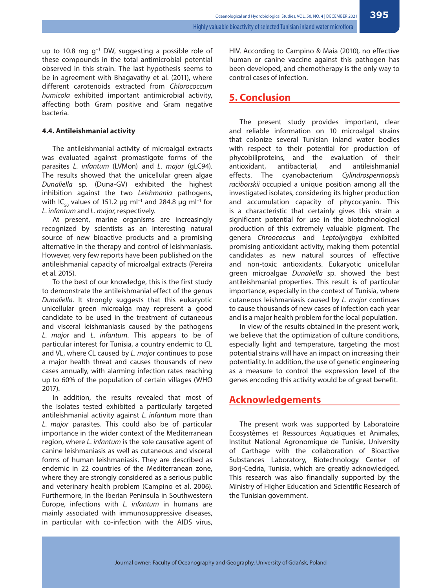up to 10.8 mg g−1 DW, suggesting a possible role of these compounds in the total antimicrobial potential observed in this strain. The last hypothesis seems to be in agreement with Bhagavathy et al. (2011), where different carotenoids extracted from *Chlorococcum humicola* exhibited important antimicrobial activity, affecting both Gram positive and Gram negative bacteria.

#### **4.4. Antileishmanial activity**

The antileishmanial activity of microalgal extracts was evaluated against promastigote forms of the parasites *L. infantum* (LVMon) and *L. major* (gLC94). The results showed that the unicellular green algae *Dunaliella* sp. (Duna-GV) exhibited the highest inhibition against the two *Leishmania* pathogens, with IC<sub>50</sub> values of 151.2 μg ml<sup>-1</sup> and 284.8 μg ml<sup>-1</sup> for *L. infantum* and *L. major*, respectively*.* 

At present, marine organisms are increasingly recognized by scientists as an interesting natural source of new bioactive products and a promising alternative in the therapy and control of leishmaniasis. However, very few reports have been published on the antileishmanial capacity of microalgal extracts (Pereira et al. 2015).

To the best of our knowledge, this is the first study to demonstrate the antileishmanial effect of the genus *Dunaliella*. It strongly suggests that this eukaryotic unicellular green microalga may represent a good candidate to be used in the treatment of cutaneous and visceral leishmaniasis caused by the pathogens *L. major* and *L. infantum*. This appears to be of particular interest for Tunisia, a country endemic to CL and VL, where CL caused by *L. majo*r continues to pose a major health threat and causes thousands of new cases annually, with alarming infection rates reaching up to 60% of the population of certain villages (WHO 2017).

In addition, the results revealed that most of the isolates tested exhibited a particularly targeted antileishmanial activity against *L. infantum* more than *L. major* parasites. This could also be of particular importance in the wider context of the Mediterranean region, where *L. infantum* is the sole causative agent of canine leishmaniasis as well as cutaneous and visceral forms of human leishmaniasis. They are described as endemic in 22 countries of the Mediterranean zone, where they are strongly considered as a serious public and veterinary health problem (Campino et al. 2006). Furthermore, in the Iberian Peninsula in Southwestern Europe, infections with *L. infantum* in humans are mainly associated with immunosuppressive diseases, in particular with co-infection with the AIDS virus,

HIV. According to Campino & Maia (2010), no effective human or canine vaccine against this pathogen has been developed, and chemotherapy is the only way to control cases of infection.

## **5. Conclusion**

The present study provides important, clear and reliable information on 10 microalgal strains that colonize several Tunisian inland water bodies with respect to their potential for production of phycobiliproteins, and the evaluation of their antioxidant, antibacterial, and antileishmanial effects. The cyanobacterium *Cylindrospermopsis raciborskii* occupied a unique position among all the investigated isolates, considering its higher production and accumulation capacity of phycocyanin. This is a characteristic that certainly gives this strain a significant potential for use in the biotechnological production of this extremely valuable pigment. The genera *Chroococcus* and *Leptolyngbya* exhibited promising antioxidant activity, making them potential candidates as new natural sources of effective and non-toxic antioxidants. Eukaryotic unicellular green microalgae *Dunaliella* sp. showed the best antileishmanial properties. This result is of particular importance, especially in the context of Tunisia, where cutaneous leishmaniasis caused by *L. major* continues to cause thousands of new cases of infection each year and is a major health problem for the local population.

In view of the results obtained in the present work, we believe that the optimization of culture conditions, especially light and temperature, targeting the most potential strains will have an impact on increasing their potentiality. In addition, the use of genetic engineering as a measure to control the expression level of the genes encoding this activity would be of great benefit.

## **Acknowledgements**

The present work was supported by Laboratoire Ecosystèmes et Ressources Aquatiques et Animales, Institut National Agronomique de Tunisie, University of Carthage with the collaboration of Bioactive Substances Laboratory, Biotechnology Center of Borj-Cedria, Tunisia, which are greatly acknowledged. This research was also financially supported by the Ministry of Higher Education and Scientific Research of the Tunisian government.

**395**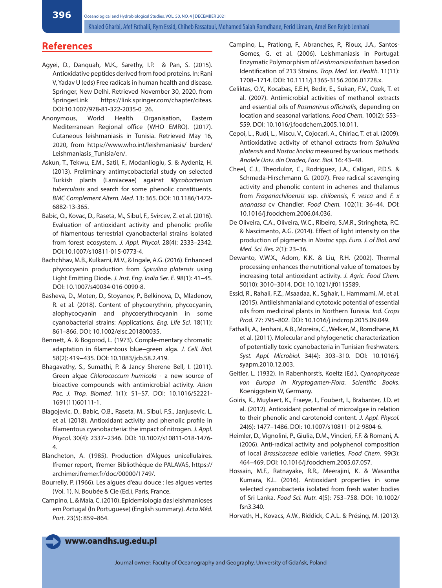## **References**

- Agyei, D., Danquah, M.K., Sarethy, I.P. & Pan, S. (2015). Antioxidative peptides derived from food proteins. In: Rani V, Yadav U (eds) Free radicals in human health and disease. Springer, New Delhi. Retrieved November 30, 2020, from SpringerLink https://link.springer.com/chapter/citeas. DOI:10.1007/978-81-322-2035-0\_26.
- Anonymous, World Health Organisation, Eastern Mediterranean Regional office (WHO EMRO). (2017). Cutaneous leishmaniasis in Tunisia. Retrieved May 16, 2020, from https://www.who.int/leishmaniasis/ burden/ Leishmaniasis\_Tunisia/en/.
- Askun, T., Tekwu, E.M., Satil, F., Modanlioglu, S. & Aydeniz, H. (2013). Preliminary antimycobacterial study on selected Turkish plants (Lamiaceae) against *Mycobacterium tuberculosis* and search for some phenolic constituents. *BMC Complement Altern. Med.* 13: 365. DOI: 10.1186/1472- 6882-13-365.
- Babic, O., Kovac, D., Raseta, M., Sibul, F., Svircev, Z. et al. (2016). Evaluation of antioxidant activity and phenolic profile of filamentous terrestrial cyanobacterial strains isolated from forest ecosystem. *J. Appl. Phycol.* 28(4): 2333–2342. DOI:10.1007/s10811-015-0773-4.
- Bachchhav, M.B., Kulkarni, M.V., & Ingale, A.G. (2016). Enhanced phycocyanin production from *Spirulina platensis* using Light Emitting Diode. *J. Inst. Eng. India Ser. E.* 98(1): 41–45. DOI: 10.1007/s40034-016-0090-8.
- Basheva, D., Moten, D., Stoyanov, P., Belkinova, D., Mladenov, R. et al. (2018). Content of phycoerythrin, phycocyanin, alophycocyanin and phycoerythrocyanin in some cyanobacterial strains: Applications. *Eng. Life Sci.* 18(11): 861–866. DOI: 10.1002/elsc.201800035.
- Bennett, A. & Bogorod, L. (1973). Comple-mentary chromatic adaptation in filamentous blue−green alga. *J. Cell. Biol.*  58(2): 419−435. DOI: 10.1083/jcb.58.2.419.
- Bhagavathy, S., Sumathi, P. & Jancy Sherene Bell, I. (2011). Green algae *Chlorococcum humicola* - a new source of bioactive compounds with antimicrobial activity. *Asian Pac. J. Trop. Biomed.* 1(1): S1–S7. DOI: 10.1016/S2221- 1691(11)60111-1.
- Blagojevic, D., Babic, O.B., Raseta, M., Sibul, F.S., Janjusevic, L. et al. (2018). Antioxidant activity and phenolic profile in filamentous cyanobacteria: the impact of nitrogen. *J. Appl. Phycol.* 30(4): 2337–2346. DOI: 10.1007/s10811-018-1476- 4.
- Blancheton, A. (1985). Production d'Algues unicellulaires. Ifremer report, Ifremer Bibliothèque de PALAVAS, https:// archimer.ifremer.fr/doc/00000/1749/.
- Bourrelly, P. (1966). Les algues d'eau douce : les algues vertes (Vol. 1). N. Boubée & Cie (Ed.), Paris, France.
- Campino, L. & Maia, C. (2010). Epidemiologia das leishmanioses em Portugal (In Portuguese) (English summary). *Acta Méd. Port.* 23(5): 859–864.
- Campino, L., Pratlong, F., Abranches, P., Rioux, J.A., Santos-Gomes, G. et al. (2006). Leishmaniasis in Portugal: Enzymatic Polymorphism of *Leishmania infantum* based on Identification of 213 Strains. *Trop. Med. Int. Health.* 11(11): 1708–1714. DOI: 10.1111/j.1365-3156.2006.01728.x.
- Celiktas, O.Y., Kocabas, E.E.H, Bedir, E., Sukan, F.V., Ozek, T. et al. (2007). Antimicrobial activities of methanol extracts and essential oils of *Rosmarinus officinalis*, depending on location and seasonal variations. *Food Chem.* 100(2): 553– 559. DOI: 10.1016/j.foodchem.2005.10.011.
- Cepoi, L., Rudi, L., Miscu, V., Cojocari, A., Chiriac, T. et al. (2009). Antioxidative activity of ethanol extracts from *Spirulina platensis* and *Nostoc linckia* measured by various methods. *Analele Univ. din Oradea, Fasc. Biol.* 16: 43–48.
- Cheel, C.J., Theoduloz, C., Rodriguez, J.A., Caligari, P.D.S. & Schmeda-Hirschmann G. (2007). Free radical scavenging activity and phenolic content in achenes and thalamus from *Fragariachiloensis* ssp. *chiloensis*, *F. vesca* and *F. x ananassa* cv Chandler. *Food Chem.* 102(1): 36–44. DOI: 10.1016/j.foodchem.2006.04.036.
- De Oliveira, C.A., Oliveira, W.C., Ribeiro, S.M.R., Stringheta, P.C. & Nascimento, A.G. (2014). Effect of light intensity on the production of pigments in *Nostoc* spp. *Euro. J. of Biol. and Med. Sci. Res.* 2(1): 23–36.
- Dewanto, V.W.X., Adom, K.K. & Liu, R.H. (2002). Thermal processing enhances the nutritional value of tomatoes by increasing total antioxidant activity. *J. Agric. Food Chem.* 50(10): 3010–3014. DOI: 10.1021/jf0115589.
- Essid, R., Rahali, F.Z., Msaadaa, K., Sghair, I., Hammami, M. et al. (2015). Antileishmanial and cytotoxic potential of essential oils from medicinal plants in Northern Tunisia. *Ind. Crops Prod.* 77: 795–802. DOI: 10.1016/j.indcrop.2015.09.049.
- Fathalli, A., Jenhani, A.B., Moreira, C., Welker, M., Romdhane, M. et al. (2011). Molecular and phylogenetic characterization of potentially toxic cyanobacteria in Tunisian freshwaters. *Syst. Appl. Microbiol.* 34(4): 303–310. DOI: 10.1016/j. syapm.2010.12.003.
- Geitler, L. (1932). In Rabenhorst's, Koeltz (Ed.), *Cyanophyceae von Europa in Kryptogamen-Flora. Scientific Books*. Koeniggstein W, Germany.
- Goiris, K., Muylaert, K., Fraeye, I., Foubert, I., Brabanter, J.D. et al. (2012). Antioxidant potential of microalgae in relation to their phenolic and carotenoid content. *J. Appl. Phycol.*  24(6): 1477–1486. DOI: 10.1007/s10811-012-9804-6.
- Heimler, D., Vignolini, P., Giulia, D.M., Vincieri, F.F. & Romani, A. (2006). Anti-radical activity and polyphenol composition of local *Brassicaceae* edible varieties, *Food Chem.* 99(3): 464–469. DOI: 10.1016/j.foodchem.2005.07.057.
- Hossain, M.F., Ratnayake, R.R., Meerajini, K. & Wasantha Kumara, K.L. (2016). Antioxidant properties in some selected cyanobacteria isolated from fresh water bodies of Sri Lanka. *Food Sci. Nutr.* 4(5): 753–758. DOI: 10.1002/ fsn3.340.
- Horvath, H., Kovacs, A.W., Riddick, C.A.L. & Présing, M. (2013).